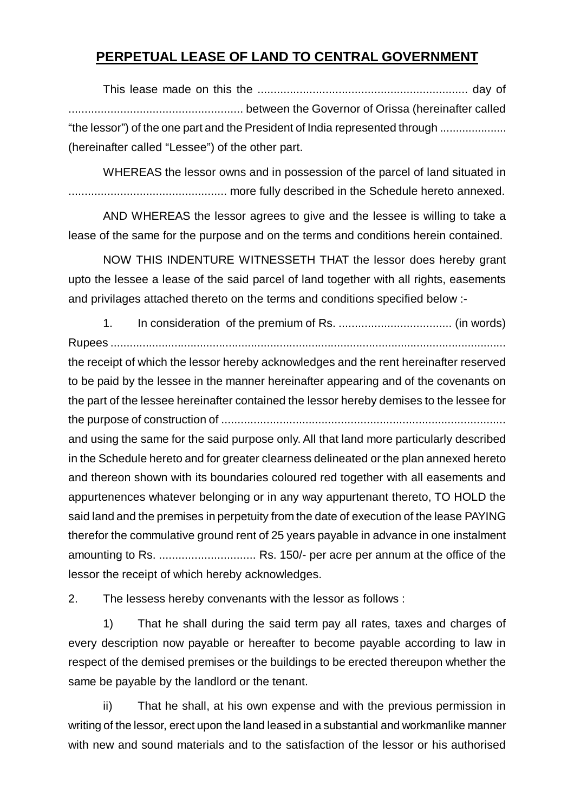## **PERPETUAL LEASE OF LAND TO CENTRAL GOVERNMENT**

This lease made on this the ................................................................. day of ...................................................... between the Governor of Orissa (hereinafter called "the lessor") of the one part and the President of India represented through ..................... (hereinafter called "Lessee") of the other part.

WHEREAS the lessor owns and in possession of the parcel of land situated in ................................................. more fully described in the Schedule hereto annexed.

AND WHEREAS the lessor agrees to give and the lessee is willing to take a lease of the same for the purpose and on the terms and conditions herein contained.

NOW THIS INDENTURE WITNESSETH THAT the lessor does hereby grant upto the lessee a lease of the said parcel of land together with all rights, easements and privilages attached thereto on the terms and conditions specified below :-

1. In consideration of the premium of Rs. ................................... (in words) Rupees ............................................................................................................................ the receipt of which the lessor hereby acknowledges and the rent hereinafter reserved to be paid by the lessee in the manner hereinafter appearing and of the covenants on the part of the lessee hereinafter contained the lessor hereby demises to the lessee for the purpose of construction of ........................................................................................ and using the same for the said purpose only. All that land more particularly described in the Schedule hereto and for greater clearness delineated or the plan annexed hereto and thereon shown with its boundaries coloured red together with all easements and appurtenences whatever belonging or in any way appurtenant thereto, TO HOLD the said land and the premises in perpetuity from the date of execution of the lease PAYING therefor the commulative ground rent of 25 years payable in advance in one instalment amounting to Rs. .............................. Rs. 150/- per acre per annum at the office of the lessor the receipt of which hereby acknowledges.

2. The lessess hereby convenants with the lessor as follows :

1) That he shall during the said term pay all rates, taxes and charges of every description now payable or hereafter to become payable according to law in respect of the demised premises or the buildings to be erected thereupon whether the same be payable by the landlord or the tenant.

ii) That he shall, at his own expense and with the previous permission in writing of the lessor, erect upon the land leased in a substantial and workmanlike manner with new and sound materials and to the satisfaction of the lessor or his authorised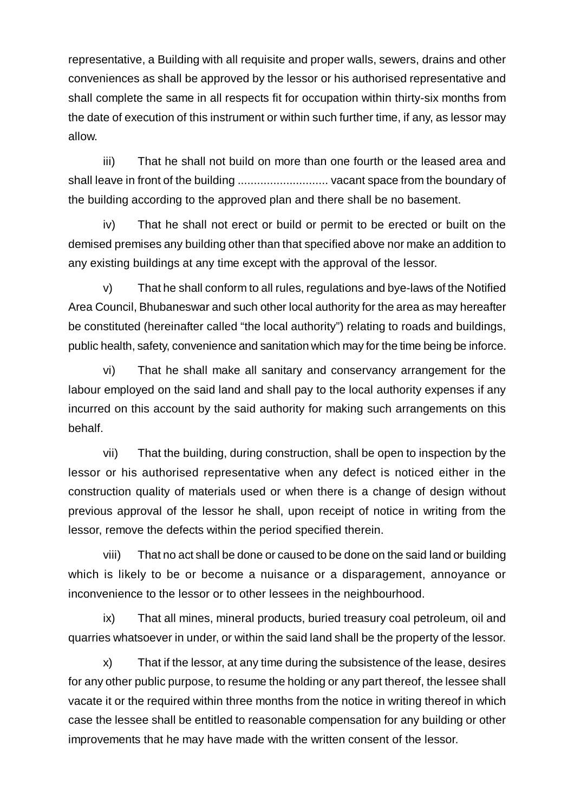representative, a Building with all requisite and proper walls, sewers, drains and other conveniences as shall be approved by the lessor or his authorised representative and shall complete the same in all respects fit for occupation within thirty-six months from the date of execution of this instrument or within such further time, if any, as lessor may allow.

iii) That he shall not build on more than one fourth or the leased area and shall leave in front of the building ............................ vacant space from the boundary of the building according to the approved plan and there shall be no basement.

iv) That he shall not erect or build or permit to be erected or built on the demised premises any building other than that specified above nor make an addition to any existing buildings at any time except with the approval of the lessor.

v) That he shall conform to all rules, regulations and bye-laws of the Notified Area Council, Bhubaneswar and such other local authority for the area as may hereafter be constituted (hereinafter called "the local authority") relating to roads and buildings, public health, safety, convenience and sanitation which may for the time being be inforce.

vi) That he shall make all sanitary and conservancy arrangement for the labour employed on the said land and shall pay to the local authority expenses if any incurred on this account by the said authority for making such arrangements on this behalf.

vii) That the building, during construction, shall be open to inspection by the lessor or his authorised representative when any defect is noticed either in the construction quality of materials used or when there is a change of design without previous approval of the lessor he shall, upon receipt of notice in writing from the lessor, remove the defects within the period specified therein.

viii) That no act shall be done or caused to be done on the said land or building which is likely to be or become a nuisance or a disparagement, annoyance or inconvenience to the lessor or to other lessees in the neighbourhood.

ix) That all mines, mineral products, buried treasury coal petroleum, oil and quarries whatsoever in under, or within the said land shall be the property of the lessor.

x) That if the lessor, at any time during the subsistence of the lease, desires for any other public purpose, to resume the holding or any part thereof, the lessee shall vacate it or the required within three months from the notice in writing thereof in which case the lessee shall be entitled to reasonable compensation for any building or other improvements that he may have made with the written consent of the lessor.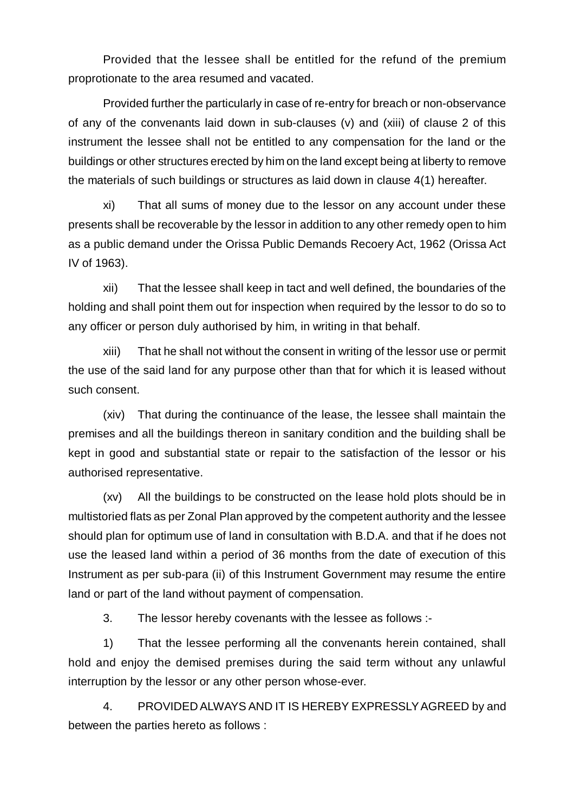Provided that the lessee shall be entitled for the refund of the premium proprotionate to the area resumed and vacated.

Provided further the particularly in case of re-entry for breach or non-observance of any of the convenants laid down in sub-clauses (v) and (xiii) of clause 2 of this instrument the lessee shall not be entitled to any compensation for the land or the buildings or other structures erected by him on the land except being at liberty to remove the materials of such buildings or structures as laid down in clause 4(1) hereafter.

xi) That all sums of money due to the lessor on any account under these presents shall be recoverable by the lessor in addition to any other remedy open to him as a public demand under the Orissa Public Demands Recoery Act, 1962 (Orissa Act IV of 1963).

xii) That the lessee shall keep in tact and well defined, the boundaries of the holding and shall point them out for inspection when required by the lessor to do so to any officer or person duly authorised by him, in writing in that behalf.

xiii) That he shall not without the consent in writing of the lessor use or permit the use of the said land for any purpose other than that for which it is leased without such consent.

(xiv) That during the continuance of the lease, the lessee shall maintain the premises and all the buildings thereon in sanitary condition and the building shall be kept in good and substantial state or repair to the satisfaction of the lessor or his authorised representative.

(xv) All the buildings to be constructed on the lease hold plots should be in multistoried flats as per Zonal Plan approved by the competent authority and the lessee should plan for optimum use of land in consultation with B.D.A. and that if he does not use the leased land within a period of 36 months from the date of execution of this Instrument as per sub-para (ii) of this Instrument Government may resume the entire land or part of the land without payment of compensation.

3. The lessor hereby covenants with the lessee as follows :-

1) That the lessee performing all the convenants herein contained, shall hold and enjoy the demised premises during the said term without any unlawful interruption by the lessor or any other person whose-ever.

4. PROVIDED ALWAYS AND IT IS HEREBY EXPRESSLY AGREED by and between the parties hereto as follows :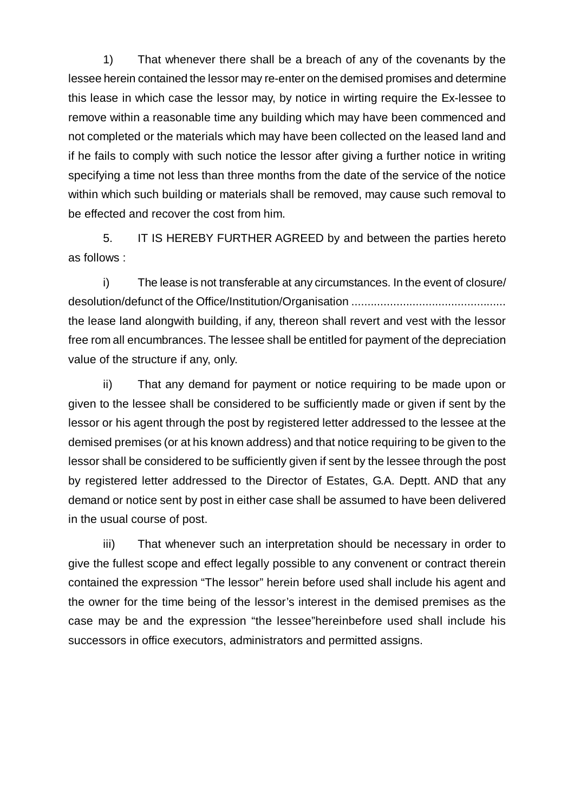1) That whenever there shall be a breach of any of the covenants by the lessee herein contained the lessor may re-enter on the demised promises and determine this lease in which case the lessor may, by notice in wirting require the Ex-lessee to remove within a reasonable time any building which may have been commenced and not completed or the materials which may have been collected on the leased land and if he fails to comply with such notice the lessor after giving a further notice in writing specifying a time not less than three months from the date of the service of the notice within which such building or materials shall be removed, may cause such removal to be effected and recover the cost from him.

5. IT IS HEREBY FURTHER AGREED by and between the parties hereto as follows :

i) The lease is not transferable at any circumstances. In the event of closure/ desolution/defunct of the Office/Institution/Organisation ................................................ the lease land alongwith building, if any, thereon shall revert and vest with the lessor free rom all encumbrances. The lessee shall be entitled for payment of the depreciation value of the structure if any, only.

ii) That any demand for payment or notice requiring to be made upon or given to the lessee shall be considered to be sufficiently made or given if sent by the lessor or his agent through the post by registered letter addressed to the lessee at the demised premises (or at his known address) and that notice requiring to be given to the lessor shall be considered to be sufficiently given if sent by the lessee through the post by registered letter addressed to the Director of Estates, G.A. Deptt. AND that any demand or notice sent by post in either case shall be assumed to have been delivered in the usual course of post.

iii) That whenever such an interpretation should be necessary in order to give the fullest scope and effect legally possible to any convenent or contract therein contained the expression "The lessor" herein before used shall include his agent and the owner for the time being of the lessor's interest in the demised premises as the case may be and the expression "the lessee"hereinbefore used shall include his successors in office executors, administrators and permitted assigns.